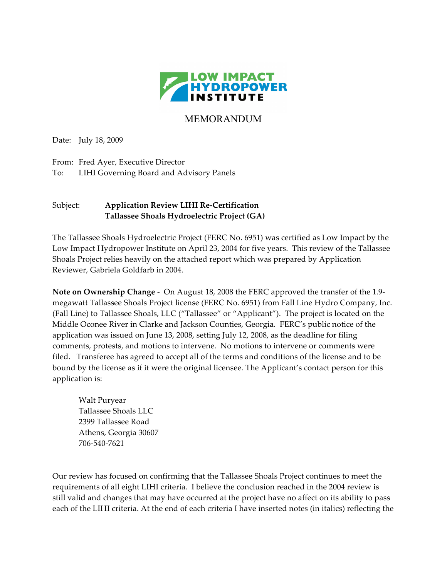

# MEMORANDUM

Date: July 18, 2009

From: Fred Ayer, Executive Director To: LIHI Governing Board and Advisory Panels

# Subject: **Application Review LIHI Re-Certification Tallassee Shoals Hydroelectric Project (GA)**

The Tallassee Shoals Hydroelectric Project (FERC No. 6951) was certified as Low Impact by the Low Impact Hydropower Institute on April 23, 2004 for five years. This review of the Tallassee Shoals Project relies heavily on the attached report which was prepared by Application Reviewer, Gabriela Goldfarb in 2004.

**Note on Ownership Change** - On August 18, 2008 the FERC approved the transfer of the 1.9 megawatt Tallassee Shoals Project license (FERC No. 6951) from Fall Line Hydro Company, Inc. (Fall Line) to Tallassee Shoals, LLC ("Tallassee" or "Applicant"). The project is located on the Middle Oconee River in Clarke and Jackson Counties, Georgia. FERC's public notice of the application was issued on June 13, 2008, setting July 12, 2008, as the deadline for filing comments, protests, and motions to intervene. No motions to intervene or comments were filed. Transferee has agreed to accept all of the terms and conditions of the license and to be bound by the license as if it were the original licensee. The Applicant's contact person for this application is:

Walt Puryear Tallassee Shoals LLC 2399 Tallassee Road Athens, Georgia 30607 706-540-7621

Our review has focused on confirming that the Tallassee Shoals Project continues to meet the requirements of all eight LIHI criteria. I believe the conclusion reached in the 2004 review is still valid and changes that may have occurred at the project have no affect on its ability to pass each of the LIHI criteria. At the end of each criteria I have inserted notes (in italics) reflecting the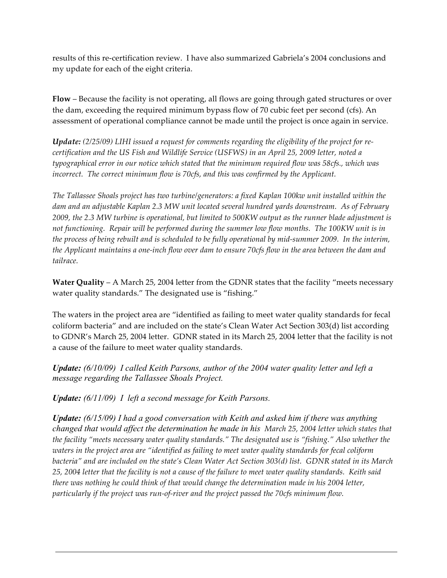results of this re-certification review. I have also summarized Gabriela's 2004 conclusions and my update for each of the eight criteria.

**Flow** – Because the facility is not operating, all flows are going through gated structures or over the dam, exceeding the required minimum bypass flow of 70 cubic feet per second (cfs). An assessment of operational compliance cannot be made until the project is once again in service.

*Update: (2/25/09) LIHI issued a request for comments regarding the eligibility of the project for recertification and the US Fish and Wildlife Service (USFWS) in an April 25, 2009 letter, noted a typographical error in our notice which stated that the minimum required flow was 58cfs., which was incorrect. The correct minimum flow is 70cfs, and this was confirmed by the Applicant.* 

*The Tallassee Shoals project has two turbine/generators: a fixed Kaplan 100kw unit installed within the dam and an adjustable Kaplan 2.3 MW unit located several hundred yards downstream. As of February 2009, the 2.3 MW turbine is operational, but limited to 500KW output as the runner blade adjustment is not functioning. Repair will be performed during the summer low flow months. The 100KW unit is in the process of being rebuilt and is scheduled to be fully operational by mid-summer 2009. In the interim, the Applicant maintains a one-inch flow over dam to ensure 70cfs flow in the area between the dam and tailrace.* 

**Water Quality** – A March 25, 2004 letter from the GDNR states that the facility "meets necessary water quality standards." The designated use is "fishing."

The waters in the project area are "identified as failing to meet water quality standards for fecal coliform bacteria" and are included on the state's Clean Water Act Section 303(d) list according to GDNR's March 25, 2004 letter. GDNR stated in its March 25, 2004 letter that the facility is not a cause of the failure to meet water quality standards.

*Update: (6/10/09) I called Keith Parsons, author of the 2004 water quality letter and left a message regarding the Tallassee Shoals Project.* 

*Update: (6/11/09) I left a second message for Keith Parsons.* 

*Update: (6/15/09) I had a good conversation with Keith and asked him if there was anything changed that would affect the determination he made in his March 25, 2004 letter which states that the facility "meets necessary water quality standards." The designated use is "fishing." Also whether the waters in the project area are "identified as failing to meet water quality standards for fecal coliform bacteria" and are included on the state's Clean Water Act Section 303(d) list. GDNR stated in its March 25, 2004 letter that the facility is not a cause of the failure to meet water quality standards. Keith said there was nothing he could think of that would change the determination made in his 2004 letter, particularly if the project was run-of-river and the project passed the 70cfs minimum flow.*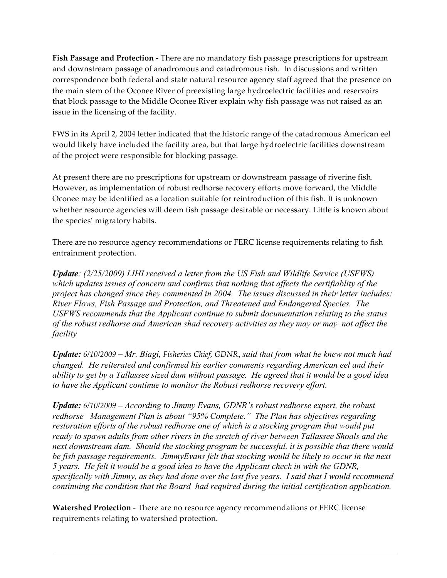**Fish Passage and Protection -** There are no mandatory fish passage prescriptions for upstream and downstream passage of anadromous and catadromous fish. In discussions and written correspondence both federal and state natural resource agency staff agreed that the presence on the main stem of the Oconee River of preexisting large hydroelectric facilities and reservoirs that block passage to the Middle Oconee River explain why fish passage was not raised as an issue in the licensing of the facility.

FWS in its April 2, 2004 letter indicated that the historic range of the catadromous American eel would likely have included the facility area, but that large hydroelectric facilities downstream of the project were responsible for blocking passage.

At present there are no prescriptions for upstream or downstream passage of riverine fish. However, as implementation of robust redhorse recovery efforts move forward, the Middle Oconee may be identified as a location suitable for reintroduction of this fish. It is unknown whether resource agencies will deem fish passage desirable or necessary. Little is known about the species' migratory habits.

There are no resource agency recommendations or FERC license requirements relating to fish entrainment protection.

*Update: (2/25/2009) LIHI received a letter from the US Fish and Wildlife Service (USFWS) which updates issues of concern and confirms that nothing that affects the certifiablity of the project has changed since they commented in 2004. The issues discussed in their letter includes: River Flows, Fish Passage and Protection, and Threatened and Endangered Species. The USFWS recommends that the Applicant continue to submit documentation relating to the status of the robust redhorse and American shad recovery activities as they may or may not affect the facility*

*Update: 6/10/2009 – Mr. Biagi, Fisheries Chief, GDNR*, *said that from what he knew not much had changed. He reiterated and confirmed his earlier comments regarding American eel and their ability to get by a Tallassee sized dam without passage. He agreed that it would be a good idea to have the Applicant continue to monitor the Robust redhorse recovery effort.*

*Update: 6/10/2009 – According to Jimmy Evans, GDNR's robust redhorse expert, the robust redhorse Management Plan is about "95% Complete." The Plan has objectives regarding restoration efforts of the robust redhorse one of which is a stocking program that would put ready to spawn adults from other rivers in the stretch of river between Tallassee Shoals and the next downstream dam. Should the stocking program be successful, it is possible that there would be fish passage requirements. JimmyEvans felt that stocking would be likely to occur in the next 5 years. He felt it would be a good idea to have the Applicant check in with the GDNR, specifically with Jimmy, as they had done over the last five years. I said that I would recommend continuing the condition that the Board had required during the initial certification application.*

**Watershed Protection** - There are no resource agency recommendations or FERC license requirements relating to watershed protection.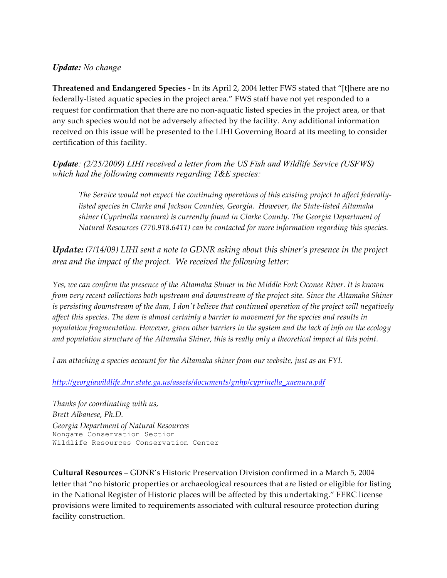### *Update: No change*

**Threatened and Endangered Species** - In its April 2, 2004 letter FWS stated that "[t]here are no federally-listed aquatic species in the project area." FWS staff have not yet responded to a request for confirmation that there are no non-aquatic listed species in the project area, or that any such species would not be adversely affected by the facility. Any additional information received on this issue will be presented to the LIHI Governing Board at its meeting to consider certification of this facility.

*Update: (2/25/2009) LIHI received a letter from the US Fish and Wildlife Service (USFWS) which had the following comments regarding T&E species:* 

*The Service would not expect the continuing operations of this existing project to affect federallylisted species in Clarke and Jackson Counties, Georgia. However, the State-listed Altamaha shiner (Cyprinella xaenura) is currently found in Clarke County. The Georgia Department of Natural Resources (770.918.6411) can be contacted for more information regarding this species.*

*Update: (7/14/09) LIHI sent a note to GDNR asking about this shiner's presence in the project area and the impact of the project. We received the following letter:*

*Yes, we can confirm the presence of the Altamaha Shiner in the Middle Fork Oconee River. It is known from very recent collections both upstream and downstream of the project site. Since the Altamaha Shiner is persisting downstream of the dam, I don't believe that continued operation of the project will negatively affect this species. The dam is almost certainly a barrier to movement for the species and results in population fragmentation. However, given other barriers in the system and the lack of info on the ecology and population structure of the Altamaha Shiner, this is really only a theoretical impact at this point.* 

*I am attaching a species account for the Altamaha shiner from our website, just as an FYI.*

*http://georgiawildlife.dnr.state.ga.us/assets/documents/gnhp/cyprinella\_xaenura.pdf*

*Thanks for coordinating with us, Brett Albanese, Ph.D. Georgia Department of Natural Resources* Nongame Conservation Section Wildlife Resources Conservation Center

**Cultural Resources** – GDNR's Historic Preservation Division confirmed in a March 5, 2004 letter that "no historic properties or archaeological resources that are listed or eligible for listing in the National Register of Historic places will be affected by this undertaking." FERC license provisions were limited to requirements associated with cultural resource protection during facility construction.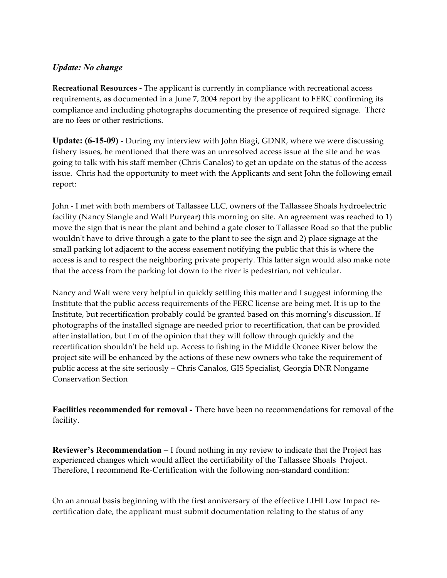# *Update: No change*

**Recreational Resources -** The applicant is currently in compliance with recreational access requirements, as documented in a June 7, 2004 report by the applicant to FERC confirming its compliance and including photographs documenting the presence of required signage. There are no fees or other restrictions.

**Update: (6-15-09)** - During my interview with John Biagi, GDNR, where we were discussing fishery issues, he mentioned that there was an unresolved access issue at the site and he was going to talk with his staff member (Chris Canalos) to get an update on the status of the access issue. Chris had the opportunity to meet with the Applicants and sent John the following email report:

John - I met with both members of Tallassee LLC, owners of the Tallassee Shoals hydroelectric facility (Nancy Stangle and Walt Puryear) this morning on site. An agreement was reached to 1) move the sign that is near the plant and behind a gate closer to Tallassee Road so that the public wouldn't have to drive through a gate to the plant to see the sign and 2) place signage at the small parking lot adjacent to the access easement notifying the public that this is where the access is and to respect the neighboring private property. This latter sign would also make note that the access from the parking lot down to the river is pedestrian, not vehicular.

Nancy and Walt were very helpful in quickly settling this matter and I suggest informing the Institute that the public access requirements of the FERC license are being met. It is up to the Institute, but recertification probably could be granted based on this morning's discussion. If photographs of the installed signage are needed prior to recertification, that can be provided after installation, but I'm of the opinion that they will follow through quickly and the recertification shouldn't be held up. Access to fishing in the Middle Oconee River below the project site will be enhanced by the actions of these new owners who take the requirement of public access at the site seriously – Chris Canalos, GIS Specialist, Georgia DNR Nongame Conservation Section

**Facilities recommended for removal -** There have been no recommendations for removal of the facility.

**Reviewer's Recommendation** – I found nothing in my review to indicate that the Project has experienced changes which would affect the certifiability of the Tallassee Shoals Project. Therefore, I recommend Re-Certification with the following non-standard condition:

On an annual basis beginning with the first anniversary of the effective LIHI Low Impact recertification date, the applicant must submit documentation relating to the status of any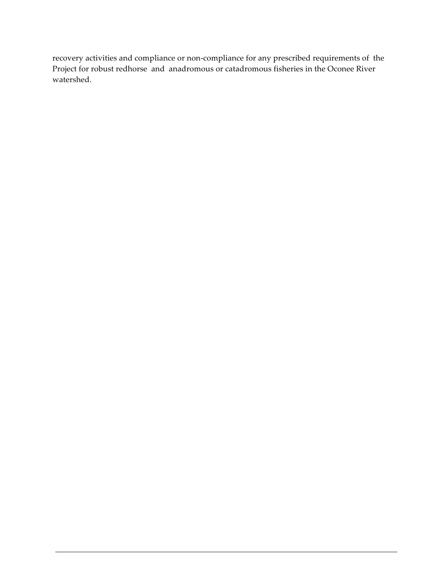recovery activities and compliance or non-compliance for any prescribed requirements of the Project for robust redhorse and anadromous or catadromous fisheries in the Oconee River watershed.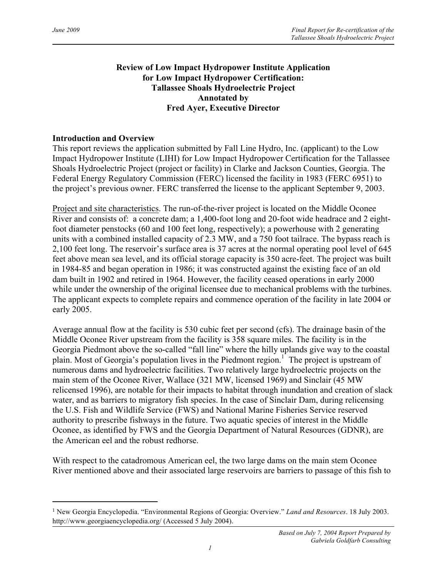$\overline{a}$ 

# **Review of Low Impact Hydropower Institute Application for Low Impact Hydropower Certification: Tallassee Shoals Hydroelectric Project Annotated by Fred Ayer, Executive Director**

### **Introduction and Overview**

This report reviews the application submitted by Fall Line Hydro, Inc. (applicant) to the Low Impact Hydropower Institute (LIHI) for Low Impact Hydropower Certification for the Tallassee Shoals Hydroelectric Project (project or facility) in Clarke and Jackson Counties, Georgia. The Federal Energy Regulatory Commission (FERC) licensed the facility in 1983 (FERC 6951) to the project's previous owner. FERC transferred the license to the applicant September 9, 2003.

Project and site characteristics. The run-of-the-river project is located on the Middle Oconee River and consists of: a concrete dam; a 1,400-foot long and 20-foot wide headrace and 2 eightfoot diameter penstocks (60 and 100 feet long, respectively); a powerhouse with 2 generating units with a combined installed capacity of 2.3 MW, and a 750 foot tailrace. The bypass reach is 2,100 feet long. The reservoir's surface area is 37 acres at the normal operating pool level of 645 feet above mean sea level, and its official storage capacity is 350 acre-feet. The project was built in 1984-85 and began operation in 1986; it was constructed against the existing face of an old dam built in 1902 and retired in 1964. However, the facility ceased operations in early 2000 while under the ownership of the original licensee due to mechanical problems with the turbines. The applicant expects to complete repairs and commence operation of the facility in late 2004 or early 2005.

Average annual flow at the facility is 530 cubic feet per second (cfs). The drainage basin of the Middle Oconee River upstream from the facility is 358 square miles. The facility is in the Georgia Piedmont above the so-called "fall line" where the hilly uplands give way to the coastal plain. Most of Georgia's population lives in the Piedmont region.<sup>1</sup> The project is upstream of numerous dams and hydroelectric facilities. Two relatively large hydroelectric projects on the main stem of the Oconee River, Wallace (321 MW, licensed 1969) and Sinclair (45 MW relicensed 1996), are notable for their impacts to habitat through inundation and creation of slack water, and as barriers to migratory fish species. In the case of Sinclair Dam, during relicensing the U.S. Fish and Wildlife Service (FWS) and National Marine Fisheries Service reserved authority to prescribe fishways in the future. Two aquatic species of interest in the Middle Oconee, as identified by FWS and the Georgia Department of Natural Resources (GDNR), are the American eel and the robust redhorse.

With respect to the catadromous American eel, the two large dams on the main stem Oconee River mentioned above and their associated large reservoirs are barriers to passage of this fish to

<sup>1</sup> New Georgia Encyclopedia. "Environmental Regions of Georgia: Overview." *Land and Resources*. 18 July 2003. http://www.georgiaencyclopedia.org/ (Accessed 5 July 2004).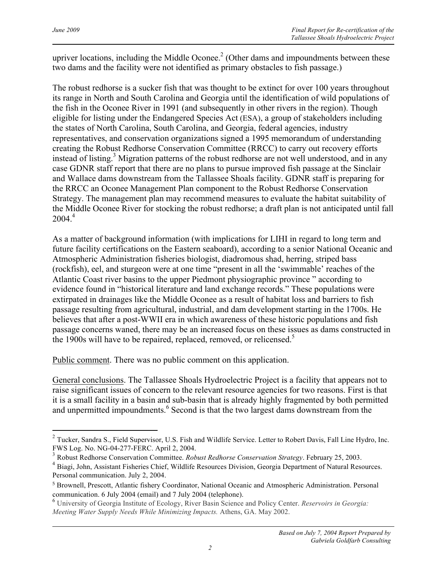$\overline{a}$ 

upriver locations, including the Middle Oconee.<sup>2</sup> (Other dams and impoundments between these two dams and the facility were not identified as primary obstacles to fish passage.)

The robust redhorse is a sucker fish that was thought to be extinct for over 100 years throughout its range in North and South Carolina and Georgia until the identification of wild populations of the fish in the Oconee River in 1991 (and subsequently in other rivers in the region). Though eligible for listing under the Endangered Species Act (ESA), a group of stakeholders including the states of North Carolina, South Carolina, and Georgia, federal agencies, industry representatives, and conservation organizations signed a 1995 memorandum of understanding creating the Robust Redhorse Conservation Committee (RRCC) to carry out recovery efforts instead of listing.<sup>3</sup> Migration patterns of the robust redhorse are not well understood, and in any case GDNR staff report that there are no plans to pursue improved fish passage at the Sinclair and Wallace dams downstream from the Tallassee Shoals facility. GDNR staff is preparing for the RRCC an Oconee Management Plan component to the Robust Redhorse Conservation Strategy. The management plan may recommend measures to evaluate the habitat suitability of the Middle Oconee River for stocking the robust redhorse; a draft plan is not anticipated until fall  $2004.<sup>4</sup>$ 

As a matter of background information (with implications for LIHI in regard to long term and future facility certifications on the Eastern seaboard), according to a senior National Oceanic and Atmospheric Administration fisheries biologist, diadromous shad, herring, striped bass (rockfish), eel, and sturgeon were at one time "present in all the 'swimmable' reaches of the Atlantic Coast river basins to the upper Piedmont physiographic province " according to evidence found in "historical literature and land exchange records." These populations were extirpated in drainages like the Middle Oconee as a result of habitat loss and barriers to fish passage resulting from agricultural, industrial, and dam development starting in the 1700s. He believes that after a post-WWII era in which awareness of these historic populations and fish passage concerns waned, there may be an increased focus on these issues as dams constructed in the 1900s will have to be repaired, replaced, removed, or relicensed.<sup>5</sup>

Public comment. There was no public comment on this application.

General conclusions. The Tallassee Shoals Hydroelectric Project is a facility that appears not to raise significant issues of concern to the relevant resource agencies for two reasons. First is that it is a small facility in a basin and sub-basin that is already highly fragmented by both permitted and unpermitted impoundments.<sup>6</sup> Second is that the two largest dams downstream from the

<sup>&</sup>lt;sup>2</sup> Tucker, Sandra S., Field Supervisor, U.S. Fish and Wildlife Service. Letter to Robert Davis, Fall Line Hydro, Inc. FWS Log. No. NG-04-277-FERC. April 2, 2004.

<sup>3</sup> Robust Redhorse Conservation Committee. *Robust Redhorse Conservation Strategy*. February 25, 2003.

<sup>4</sup> Biagi, John, Assistant Fisheries Chief, Wildlife Resources Division, Georgia Department of Natural Resources. Personal communication. July 2, 2004.

<sup>5</sup> Brownell, Prescott, Atlantic fishery Coordinator, National Oceanic and Atmospheric Administration. Personal communication. 6 July 2004 (email) and 7 July 2004 (telephone).

<sup>6</sup> University of Georgia Institute of Ecology, River Basin Science and Policy Center. *Reservoirs in Georgia: Meeting Water Supply Needs While Minimizing Impacts.* Athens, GA. May 2002.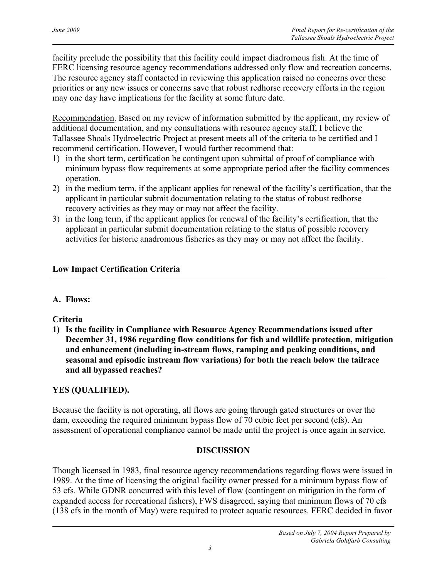facility preclude the possibility that this facility could impact diadromous fish. At the time of FERC licensing resource agency recommendations addressed only flow and recreation concerns. The resource agency staff contacted in reviewing this application raised no concerns over these priorities or any new issues or concerns save that robust redhorse recovery efforts in the region may one day have implications for the facility at some future date.

Recommendation. Based on my review of information submitted by the applicant, my review of additional documentation, and my consultations with resource agency staff, I believe the Tallassee Shoals Hydroelectric Project at present meets all of the criteria to be certified and I recommend certification. However, I would further recommend that:

- 1) in the short term, certification be contingent upon submittal of proof of compliance with minimum bypass flow requirements at some appropriate period after the facility commences operation.
- 2) in the medium term, if the applicant applies for renewal of the facility's certification, that the applicant in particular submit documentation relating to the status of robust redhorse recovery activities as they may or may not affect the facility.
- 3) in the long term, if the applicant applies for renewal of the facility's certification, that the applicant in particular submit documentation relating to the status of possible recovery activities for historic anadromous fisheries as they may or may not affect the facility.

# **Low Impact Certification Criteria**

# **A. Flows:**

# **Criteria**

**1) Is the facility in Compliance with Resource Agency Recommendations issued after December 31, 1986 regarding flow conditions for fish and wildlife protection, mitigation and enhancement (including in-stream flows, ramping and peaking conditions, and seasonal and episodic instream flow variations) for both the reach below the tailrace and all bypassed reaches?** 

# **YES (QUALIFIED).**

Because the facility is not operating, all flows are going through gated structures or over the dam, exceeding the required minimum bypass flow of 70 cubic feet per second (cfs). An assessment of operational compliance cannot be made until the project is once again in service.

# **DISCUSSION**

Though licensed in 1983, final resource agency recommendations regarding flows were issued in 1989. At the time of licensing the original facility owner pressed for a minimum bypass flow of 53 cfs. While GDNR concurred with this level of flow (contingent on mitigation in the form of expanded access for recreational fishers), FWS disagreed, saying that minimum flows of 70 cfs (138 cfs in the month of May) were required to protect aquatic resources. FERC decided in favor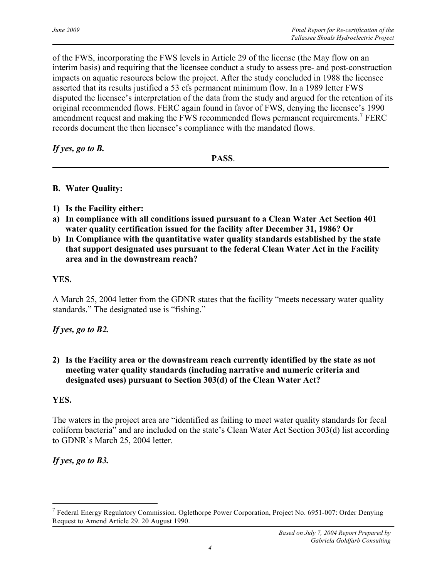of the FWS, incorporating the FWS levels in Article 29 of the license (the May flow on an interim basis) and requiring that the licensee conduct a study to assess pre- and post-construction impacts on aquatic resources below the project. After the study concluded in 1988 the licensee asserted that its results justified a 53 cfs permanent minimum flow. In a 1989 letter FWS disputed the licensee's interpretation of the data from the study and argued for the retention of its original recommended flows. FERC again found in favor of FWS, denying the licensee's 1990 amendment request and making the FWS recommended flows permanent requirements.<sup>7</sup> FERC records document the then licensee's compliance with the mandated flows.

*If yes, go to B.*

**PASS**.

#### **B. Water Quality:**

- **1) Is the Facility either:**
- **a) In compliance with all conditions issued pursuant to a Clean Water Act Section 401 water quality certification issued for the facility after December 31, 1986? Or**
- **b) In Compliance with the quantitative water quality standards established by the state that support designated uses pursuant to the federal Clean Water Act in the Facility area and in the downstream reach?**

### **YES.**

A March 25, 2004 letter from the GDNR states that the facility "meets necessary water quality standards." The designated use is "fishing."

*If yes, go to B2.*

**2) Is the Facility area or the downstream reach currently identified by the state as not meeting water quality standards (including narrative and numeric criteria and designated uses) pursuant to Section 303(d) of the Clean Water Act?** 

#### **YES.**

 $\overline{a}$ 

The waters in the project area are "identified as failing to meet water quality standards for fecal coliform bacteria" and are included on the state's Clean Water Act Section 303(d) list according to GDNR's March 25, 2004 letter.

*If yes, go to B3.*

<sup>7</sup> Federal Energy Regulatory Commission. Oglethorpe Power Corporation, Project No. 6951-007: Order Denying Request to Amend Article 29. 20 August 1990.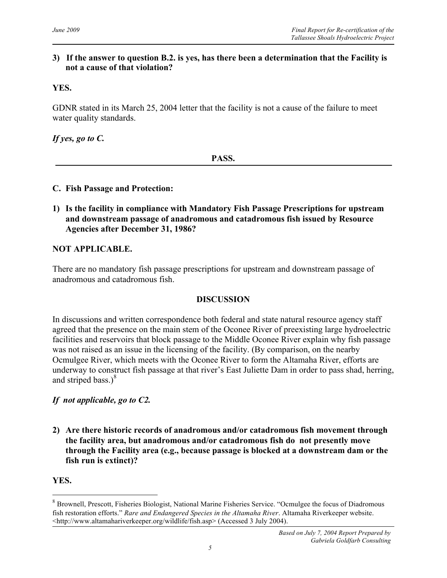### **3) If the answer to question B.2. is yes, has there been a determination that the Facility is not a cause of that violation?**

### **YES.**

GDNR stated in its March 25, 2004 letter that the facility is not a cause of the failure to meet water quality standards.

*If yes, go to C.*

**PASS.**

### **C. Fish Passage and Protection:**

**1) Is the facility in compliance with Mandatory Fish Passage Prescriptions for upstream and downstream passage of anadromous and catadromous fish issued by Resource Agencies after December 31, 1986?**

### **NOT APPLICABLE.**

There are no mandatory fish passage prescriptions for upstream and downstream passage of anadromous and catadromous fish.

#### **DISCUSSION**

In discussions and written correspondence both federal and state natural resource agency staff agreed that the presence on the main stem of the Oconee River of preexisting large hydroelectric facilities and reservoirs that block passage to the Middle Oconee River explain why fish passage was not raised as an issue in the licensing of the facility. (By comparison, on the nearby Ocmulgee River, which meets with the Oconee River to form the Altamaha River, efforts are underway to construct fish passage at that river's East Juliette Dam in order to pass shad, herring, and striped bass.) $8<sup>8</sup>$ 

### *If not applicable, go to C2.*

**2) Are there historic records of anadromous and/or catadromous fish movement through the facility area, but anadromous and/or catadromous fish do not presently move through the Facility area (e.g., because passage is blocked at a downstream dam or the fish run is extinct)?**

#### **YES.**

l

<sup>8</sup> Brownell, Prescott, Fisheries Biologist, National Marine Fisheries Service. "Ocmulgee the focus of Diadromous fish restoration efforts." *Rare and Endangered Species in the Altamaha River*. Altamaha Riverkeeper website. <http://www.altamahariverkeeper.org/wildlife/fish.asp> (Accessed 3 July 2004).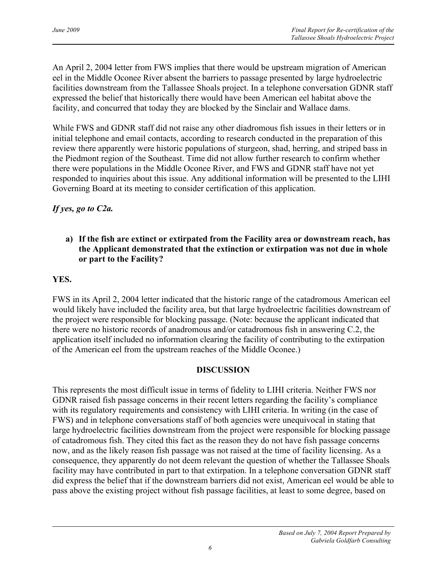An April 2, 2004 letter from FWS implies that there would be upstream migration of American eel in the Middle Oconee River absent the barriers to passage presented by large hydroelectric facilities downstream from the Tallassee Shoals project. In a telephone conversation GDNR staff expressed the belief that historically there would have been American eel habitat above the facility, and concurred that today they are blocked by the Sinclair and Wallace dams.

While FWS and GDNR staff did not raise any other diadromous fish issues in their letters or in initial telephone and email contacts, according to research conducted in the preparation of this review there apparently were historic populations of sturgeon, shad, herring, and striped bass in the Piedmont region of the Southeast. Time did not allow further research to confirm whether there were populations in the Middle Oconee River, and FWS and GDNR staff have not yet responded to inquiries about this issue. Any additional information will be presented to the LIHI Governing Board at its meeting to consider certification of this application.

# *If yes, go to C2a.*

# **a) If the fish are extinct or extirpated from the Facility area or downstream reach, has the Applicant demonstrated that the extinction or extirpation was not due in whole or part to the Facility?**

# **YES.**

FWS in its April 2, 2004 letter indicated that the historic range of the catadromous American eel would likely have included the facility area, but that large hydroelectric facilities downstream of the project were responsible for blocking passage. (Note: because the applicant indicated that there were no historic records of anadromous and/or catadromous fish in answering C.2, the application itself included no information clearing the facility of contributing to the extirpation of the American eel from the upstream reaches of the Middle Oconee.)

# **DISCUSSION**

This represents the most difficult issue in terms of fidelity to LIHI criteria. Neither FWS nor GDNR raised fish passage concerns in their recent letters regarding the facility's compliance with its regulatory requirements and consistency with LIHI criteria. In writing (in the case of FWS) and in telephone conversations staff of both agencies were unequivocal in stating that large hydroelectric facilities downstream from the project were responsible for blocking passage of catadromous fish. They cited this fact as the reason they do not have fish passage concerns now, and as the likely reason fish passage was not raised at the time of facility licensing. As a consequence, they apparently do not deem relevant the question of whether the Tallassee Shoals facility may have contributed in part to that extirpation. In a telephone conversation GDNR staff did express the belief that if the downstream barriers did not exist, American eel would be able to pass above the existing project without fish passage facilities, at least to some degree, based on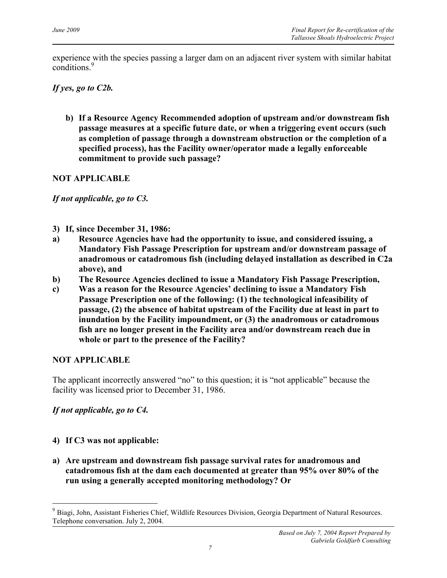experience with the species passing a larger dam on an adjacent river system with similar habitat conditions<sup>9</sup>

### *If yes, go to C2b.*

**b) If a Resource Agency Recommended adoption of upstream and/or downstream fish passage measures at a specific future date, or when a triggering event occurs (such as completion of passage through a downstream obstruction or the completion of a specified process), has the Facility owner/operator made a legally enforceable commitment to provide such passage?**

### **NOT APPLICABLE**

*If not applicable, go to C3.*

- **3) If, since December 31, 1986:**
- **a) Resource Agencies have had the opportunity to issue, and considered issuing, a Mandatory Fish Passage Prescription for upstream and/or downstream passage of anadromous or catadromous fish (including delayed installation as described in C2a above), and**
- **b) The Resource Agencies declined to issue a Mandatory Fish Passage Prescription,**
- **c) Was a reason for the Resource Agencies' declining to issue a Mandatory Fish Passage Prescription one of the following: (1) the technological infeasibility of passage, (2) the absence of habitat upstream of the Facility due at least in part to inundation by the Facility impoundment, or (3) the anadromous or catadromous fish are no longer present in the Facility area and/or downstream reach due in whole or part to the presence of the Facility?**

### **NOT APPLICABLE**

The applicant incorrectly answered "no" to this question; it is "not applicable" because the facility was licensed prior to December 31, 1986.

# *If not applicable, go to C4.*

# **4) If C3 was not applicable:**

 $\overline{a}$ 

**a) Are upstream and downstream fish passage survival rates for anadromous and catadromous fish at the dam each documented at greater than 95% over 80% of the run using a generally accepted monitoring methodology? Or**

<sup>&</sup>lt;sup>9</sup> Biagi, John, Assistant Fisheries Chief, Wildlife Resources Division, Georgia Department of Natural Resources. Telephone conversation. July 2, 2004.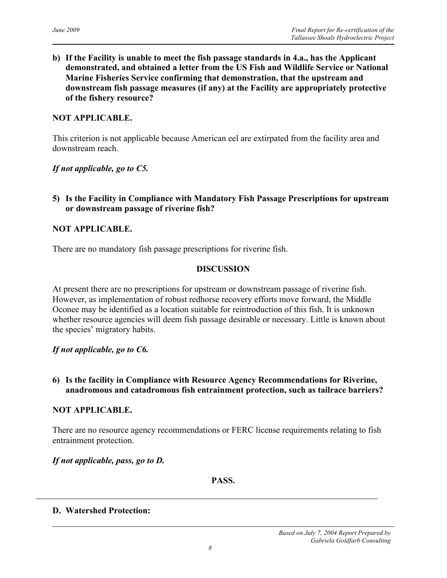**b) If the Facility is unable to meet the fish passage standards in 4.a., has the Applicant demonstrated, and obtained a letter from the US Fish and Wildlife Service or National Marine Fisheries Service confirming that demonstration, that the upstream and downstream fish passage measures (if any) at the Facility are appropriately protective of the fishery resource?** 

#### **NOT APPLICABLE.**

This criterion is not applicable because American eel are extirpated from the facility area and downstream reach.

*If not applicable, go to C5.*

**5) Is the Facility in Compliance with Mandatory Fish Passage Prescriptions for upstream or downstream passage of riverine fish?** 

### **NOT APPLICABLE.**

There are no mandatory fish passage prescriptions for riverine fish.

#### **DISCUSSION**

At present there are no prescriptions for upstream or downstream passage of riverine fish. However, as implementation of robust redhorse recovery efforts move forward, the Middle Oconee may be identified as a location suitable for reintroduction of this fish. It is unknown whether resource agencies will deem fish passage desirable or necessary. Little is known about the species' migratory habits.

#### *If not applicable, go to C6.*

### **6) Is the facility in Compliance with Resource Agency Recommendations for Riverine, anadromous and catadromous fish entrainment protection, such as tailrace barriers?**

#### **NOT APPLICABLE.**

There are no resource agency recommendations or FERC license requirements relating to fish entrainment protection.

#### *If not applicable, pass, go to D.*

**PASS.**

#### **D. Watershed Protection:**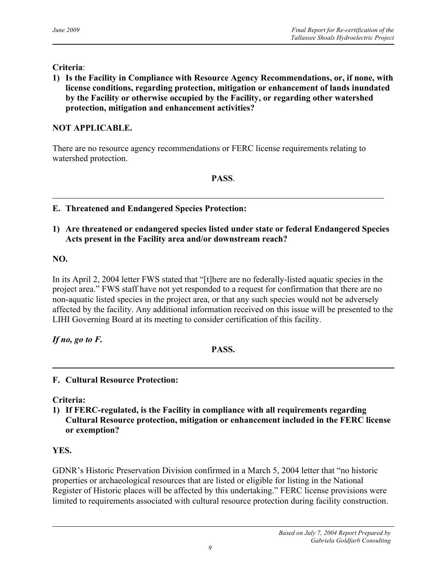### **Criteria**:

**1) Is the Facility in Compliance with Resource Agency Recommendations, or, if none, with license conditions, regarding protection, mitigation or enhancement of lands inundated by the Facility or otherwise occupied by the Facility, or regarding other watershed protection, mitigation and enhancement activities?**

# **NOT APPLICABLE.**

There are no resource agency recommendations or FERC license requirements relating to watershed protection.

### **PASS**.

- **E. Threatened and Endangered Species Protection:**
- **1) Are threatened or endangered species listed under state or federal Endangered Species Acts present in the Facility area and/or downstream reach?**

### **NO.**

In its April 2, 2004 letter FWS stated that "[t]here are no federally-listed aquatic species in the project area." FWS staff have not yet responded to a request for confirmation that there are no non-aquatic listed species in the project area, or that any such species would not be adversely affected by the facility. Any additional information received on this issue will be presented to the LIHI Governing Board at its meeting to consider certification of this facility.

*If no, go to F.*

**PASS.**

### **F. Cultural Resource Protection:**

**Criteria:**

**1) If FERC-regulated, is the Facility in compliance with all requirements regarding Cultural Resource protection, mitigation or enhancement included in the FERC license or exemption?**

# **YES.**

GDNR's Historic Preservation Division confirmed in a March 5, 2004 letter that "no historic properties or archaeological resources that are listed or eligible for listing in the National Register of Historic places will be affected by this undertaking." FERC license provisions were limited to requirements associated with cultural resource protection during facility construction.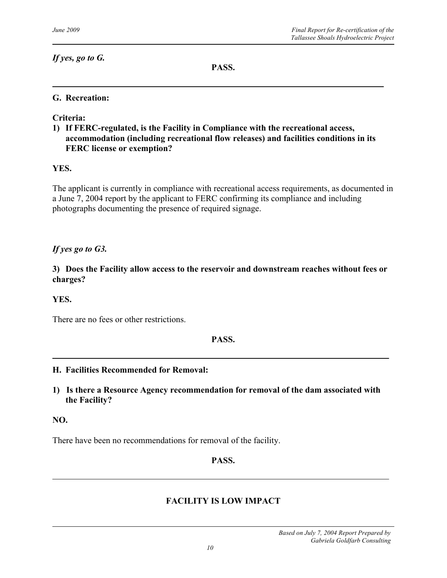*If yes, go to G.*

**PASS.**

### **G. Recreation:**

**Criteria:**

**1) If FERC-regulated, is the Facility in Compliance with the recreational access, accommodation (including recreational flow releases) and facilities conditions in its FERC license or exemption?**

### **YES.**

The applicant is currently in compliance with recreational access requirements, as documented in a June 7, 2004 report by the applicant to FERC confirming its compliance and including photographs documenting the presence of required signage.

### *If yes go to G3.*

**3) Does the Facility allow access to the reservoir and downstream reaches without fees or charges?**

### **YES.**

There are no fees or other restrictions.

### **PASS.**

#### **H. Facilities Recommended for Removal:**

**1) Is there a Resource Agency recommendation for removal of the dam associated with the Facility?**

#### **NO.**

There have been no recommendations for removal of the facility.

#### **PASS.**

### **FACILITY IS LOW IMPACT**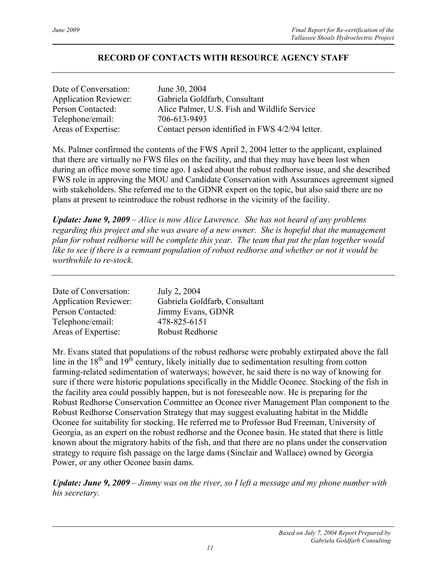### **RECORD OF CONTACTS WITH RESOURCE AGENCY STAFF**

| Date of Conversation:        | June 30, 2004                                   |
|------------------------------|-------------------------------------------------|
| <b>Application Reviewer:</b> | Gabriela Goldfarb, Consultant                   |
| Person Contacted:            | Alice Palmer, U.S. Fish and Wildlife Service    |
| Telephone/email:             | 706-613-9493                                    |
| Areas of Expertise:          | Contact person identified in FWS 4/2/94 letter. |

Ms. Palmer confirmed the contents of the FWS April 2, 2004 letter to the applicant, explained that there are virtually no FWS files on the facility, and that they may have been lost when during an office move some time ago. I asked about the robust redhorse issue, and she described FWS role in approving the MOU and Candidate Conservation with Assurances agreement signed with stakeholders. She referred me to the GDNR expert on the topic, but also said there are no plans at present to reintroduce the robust redhorse in the vicinity of the facility.

*Update: June 9, 2009 – Alice is now Alice Lawrence. She has not heard of any problems regarding this project and she was aware of a new owner. She is hopeful that the management plan for robust redhorse will be complete this year. The team that put the plan together would like to see if there is a remnant population of robust redhorse and whether or not it would be worthwhile to re-stock.* 

| Date of Conversation:        | July 2, 2004                  |
|------------------------------|-------------------------------|
| <b>Application Reviewer:</b> | Gabriela Goldfarb, Consultant |
| Person Contacted:            | Jimmy Evans, GDNR             |
| Telephone/email:             | 478-825-6151                  |
| Areas of Expertise:          | Robust Redhorse               |

Mr. Evans stated that populations of the robust redhorse were probably extirpated above the fall line in the  $18<sup>th</sup>$  and  $19<sup>th</sup>$  century, likely initially due to sedimentation resulting from cotton farming-related sedimentation of waterways; however, he said there is no way of knowing for sure if there were historic populations specifically in the Middle Oconee. Stocking of the fish in the facility area could possibly happen, but is not foreseeable now. He is preparing for the Robust Redhorse Conservation Committee an Oconee river Management Plan component to the Robust Redhorse Conservation Strategy that may suggest evaluating habitat in the Middle Oconee for suitability for stocking. He referred me to Professor Bud Freeman, University of Georgia, as an expert on the robust redhorse and the Oconee basin. He stated that there is little known about the migratory habits of the fish, and that there are no plans under the conservation strategy to require fish passage on the large dams (Sinclair and Wallace) owned by Georgia Power, or any other Oconee basin dams.

*Update: June 9, 2009 – Jimmy was on the river, so I left a message and my phone number with his secretary.*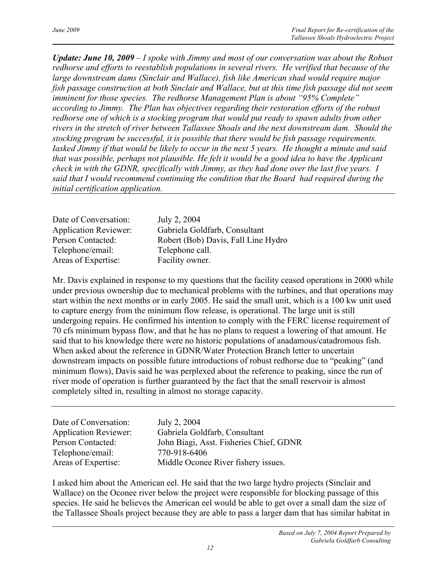*Update: June 10, 2009 – I spoke with Jimmy and most of our conversation was about the Robust redhorse and efforts to reestablish populations in several rivers. He verified that because of the large downstream dams (Sinclair and Wallace), fish like American shad would require major fish passage construction at both Sinclair and Wallace, but at this time fish passage did not seem imminent for those species. The redhorse Management Plan is about "95% Complete" according to Jimmy. The Plan has objectives regarding their restoration efforts of the robust redhorse one of which is a stocking program that would put ready to spawn adults from other rivers in the stretch of river between Tallassee Shoals and the next downstream dam. Should the stocking program be successful, it is possible that there would be fish passage requirements. Iasked Jimmy if that would be likely to occur in the next 5 years. He thought a minute and said that was possible, perhaps not plausible. He felt it would be a good idea to have the Applicant check in with the GDNR, specifically with Jimmy, as they had done over the last five years. I said that I would recommend continuing the condition that the Board had required during the initial certification application.*

| Date of Conversation:        | July 2, 2004                        |
|------------------------------|-------------------------------------|
| <b>Application Reviewer:</b> | Gabriela Goldfarb, Consultant       |
| Person Contacted:            | Robert (Bob) Davis, Fall Line Hydro |
| Telephone/email:             | Telephone call.                     |
| Areas of Expertise:          | Facility owner.                     |

Mr. Davis explained in response to my questions that the facility ceased operations in 2000 while under previous ownership due to mechanical problems with the turbines, and that operations may start within the next months or in early 2005. He said the small unit, which is a 100 kw unit used to capture energy from the minimum flow release, is operational. The large unit is still undergoing repairs. He confirmed his intention to comply with the FERC license requirement of 70 cfs minimum bypass flow, and that he has no plans to request a lowering of that amount. He said that to his knowledge there were no historic populations of anadamous/catadromous fish. When asked about the reference in GDNR/Water Protection Branch letter to uncertain downstream impacts on possible future introductions of robust redhorse due to "peaking" (and minimum flows), Davis said he was perplexed about the reference to peaking, since the run of river mode of operation is further guaranteed by the fact that the small reservoir is almost completely silted in, resulting in almost no storage capacity.

| July 2, 2004                            |
|-----------------------------------------|
| Gabriela Goldfarb, Consultant           |
| John Biagi, Asst. Fisheries Chief, GDNR |
| 770-918-6406                            |
| Middle Oconee River fishery issues.     |
|                                         |

I asked him about the American eel. He said that the two large hydro projects (Sinclair and Wallace) on the Oconee river below the project were responsible for blocking passage of this species. He said he believes the American eel would be able to get over a small dam the size of the Tallassee Shoals project because they are able to pass a larger dam that has similar habitat in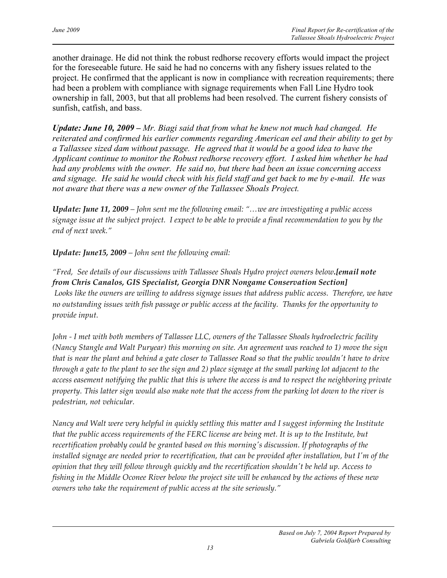another drainage. He did not think the robust redhorse recovery efforts would impact the project for the foreseeable future. He said he had no concerns with any fishery issues related to the project. He confirmed that the applicant is now in compliance with recreation requirements; there had been a problem with compliance with signage requirements when Fall Line Hydro took ownership in fall, 2003, but that all problems had been resolved. The current fishery consists of sunfish, catfish, and bass.

*Update: June 10, 2009 – Mr. Biagi said that from what he knew not much had changed. He reiterated and confirmed his earlier comments regarding American eel and their ability to get by a Tallassee sized dam without passage. He agreed that it would be a good idea to have the Applicant continue to monitor the Robust redhorse recovery effort. I asked him whether he had had any problems with the owner. He said no, but there had been an issue concerning access and signage. He said he would check with his field staff and get back to me by e-mail. He was not aware that there was a new owner of the Tallassee Shoals Project.* 

*Update: June 11, 2009 – John sent me the following email: "…we are investigating a public access signage issue at the subject project. I expect to be able to provide a final recommendation to you by the end of next week."*

*Update: June15, 2009 – John sent the following email:* 

*"Fred, See details of our discussions with Tallassee Shoals Hydro project owners below.[email note from Chris Canalos, GIS Specialist, Georgia DNR Nongame Conservation Section] Looks like the owners are willing to address signage issues that address public access. Therefore, we have no outstanding issues with fish passage or public access at the facility. Thanks for the opportunity to provide input.*

*John - I met with both members of Tallassee LLC, owners of the Tallassee Shoals hydroelectric facility (Nancy Stangle and Walt Puryear) this morning on site. An agreement was reached to 1) move the sign that is near the plant and behind a gate closer to Tallassee Road so that the public wouldn't have to drive through a gate to the plant to see the sign and 2) place signage at the small parking lot adjacent to the access easement notifying the public that this is where the access is and to respect the neighboring private property. This latter sign would also make note that the access from the parking lot down to the river is pedestrian, not vehicular.* 

*Nancy and Walt were very helpful in quickly settling this matter and I suggest informing the Institute that the public access requirements of the FERC license are being met. It is up to the Institute, but recertification probably could be granted based on this morning's discussion. If photographs of the installed signage are needed prior to recertification, that can be provided after installation, but I'm of the opinion that they will follow through quickly and the recertification shouldn't be held up. Access to fishing in the Middle Oconee River below the project site will be enhanced by the actions of these new owners who take the requirement of public access at the site seriously."*